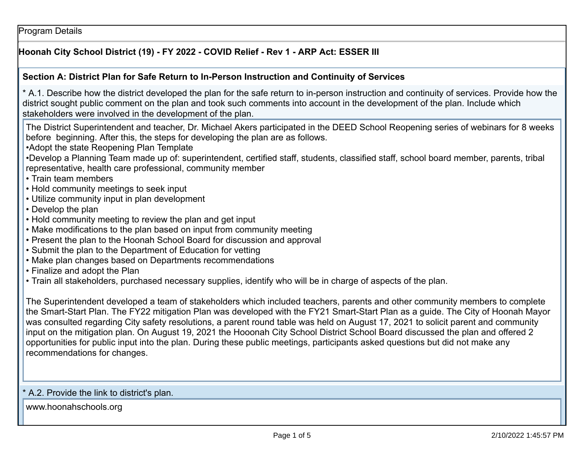Program Details

## **Hoonah City School District (19) - FY 2022 - COVID Relief - Rev 1 - ARP Act: ESSER III**

#### **Section A: District Plan for Safe Return to In-Person Instruction and Continuity of Services**

\* A.1. Describe how the district developed the plan for the safe return to in-person instruction and continuity of services. Provide how thedistrict sought public comment on the plan and took such comments into account in the development of the plan. Include whichstakeholders were involved in the development of the plan.

The District Superintendent and teacher, Dr. Michael Akers participated in the DEED School Reopening series of webinars for 8 weeksbefore beginning. After this, the steps for developing the plan are as follows.

•Adopt the state Reopening Plan Template

 •Develop a Planning Team made up of: superintendent, certified staff, students, classified staff, school board member, parents, tribalrepresentative, health care professional, community member

- Train team members
- Hold community meetings to seek input
- Utilize community input in plan development
- Develop the plan
- Hold community meeting to review the plan and get input
- Make modifications to the plan based on input from community meeting
- Present the plan to the Hoonah School Board for discussion and approval
- Submit the plan to the Department of Education for vetting
- Make plan changes based on Departments recommendations
- Finalize and adopt the Plan
- Train all stakeholders, purchased necessary supplies, identify who will be in charge of aspects of the plan.

The Superintendent developed a team of stakeholders which included teachers, parents and other community members to complete the Smart-Start Plan. The FY22 mitigation Plan was developed with the FY21 Smart-Start Plan as a guide. The City of Hoonah Mayorwas consulted regarding City safety resolutions, a parent round table was held on August 17, 2021 to solicit parent and community input on the mitigation plan. On August 19, 2021 the Hooonah City School District School Board discussed the plan and offered 2opportunities for public input into the plan. During these public meetings, participants asked questions but did not make anyrecommendations for changes.

#### \* A.2. Provide the link to district's plan.

www.hoonahschools.org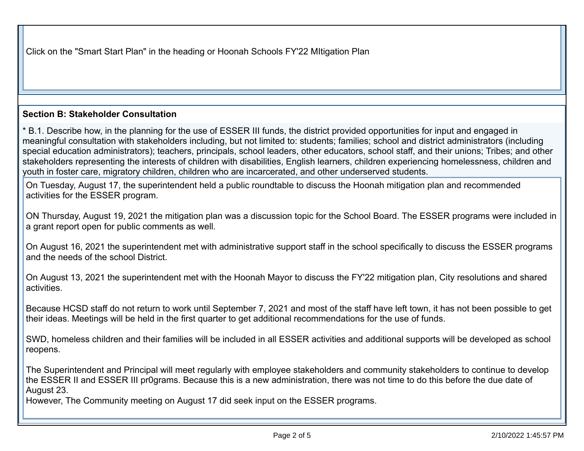Click on the "Smart Start Plan" in the heading or Hoonah Schools FY'22 MItigation Plan

### **Section B: Stakeholder Consultation**

\* B.1. Describe how, in the planning for the use of ESSER III funds, the district provided opportunities for input and engaged in meaningful consultation with stakeholders including, but not limited to: students; families; school and district administrators (including special education administrators); teachers, principals, school leaders, other educators, school staff, and their unions; Tribes; and other stakeholders representing the interests of children with disabilities, English learners, children experiencing homelessness, children andyouth in foster care, migratory children, children who are incarcerated, and other underserved students.

On Tuesday, August 17, the superintendent held a public roundtable to discuss the Hoonah mitigation plan and recommendedactivities for the ESSER program.

ON Thursday, August 19, 2021 the mitigation plan was a discussion topic for the School Board. The ESSER programs were included ina grant report open for public comments as well.

On August 16, 2021 the superintendent met with administrative support staff in the school specifically to discuss the ESSER programsand the needs of the school District.

On August 13, 2021 the superintendent met with the Hoonah Mayor to discuss the FY'22 mitigation plan, City resolutions and sharedactivities.

Because HCSD staff do not return to work until September 7, 2021 and most of the staff have left town, it has not been possible to gettheir ideas. Meetings will be held in the first quarter to get additional recommendations for the use of funds.

SWD, homeless children and their families will be included in all ESSER activities and additional supports will be developed as schoolreopens.

The Superintendent and Principal will meet regularly with employee stakeholders and community stakeholders to continue to developthe ESSER II and ESSER III pr0grams. Because this is a new administration, there was not time to do this before the due date ofAugust 23.

However, The Community meeting on August 17 did seek input on the ESSER programs.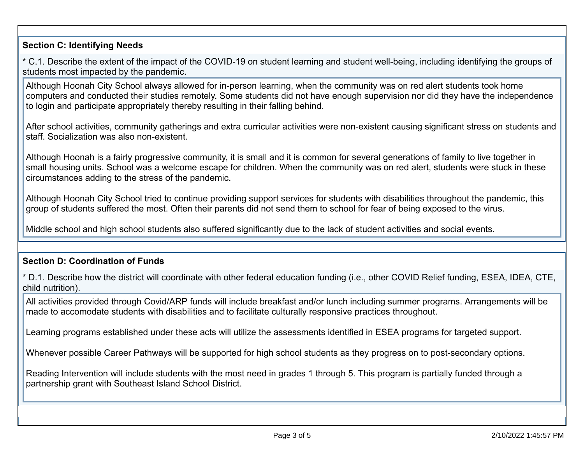## **Section C: Identifying Needs**

\* C.1. Describe the extent of the impact of the COVID-19 on student learning and student well-being, including identifying the groups ofstudents most impacted by the pandemic.

Although Hoonah City School always allowed for in-person learning, when the community was on red alert students took home computers and conducted their studies remotely. Some students did not have enough supervision nor did they have the independenceto login and participate appropriately thereby resulting in their falling behind.

After school activities, community gatherings and extra curricular activities were non-existent causing significant stress on students andstaff. Socialization was also non-existent.

Although Hoonah is a fairly progressive community, it is small and it is common for several generations of family to live together in small housing units. School was a welcome escape for children. When the community was on red alert, students were stuck in thesecircumstances adding to the stress of the pandemic.

Although Hoonah City School tried to continue providing support services for students with disabilities throughout the pandemic, thisgroup of students suffered the most. Often their parents did not send them to school for fear of being exposed to the virus.

Middle school and high school students also suffered significantly due to the lack of student activities and social events.

# **Section D: Coordination of Funds**

\* D.1. Describe how the district will coordinate with other federal education funding (i.e., other COVID Relief funding, ESEA, IDEA, CTE,child nutrition).

All activities provided through Covid/ARP funds will include breakfast and/or lunch including summer programs. Arrangements will bemade to accomodate students with disabilities and to facilitate culturally responsive practices throughout.

Learning programs established under these acts will utilize the assessments identified in ESEA programs for targeted support.

Whenever possible Career Pathways will be supported for high school students as they progress on to post-secondary options.

Reading Intervention will include students with the most need in grades 1 through 5. This program is partially funded through apartnership grant with Southeast Island School District.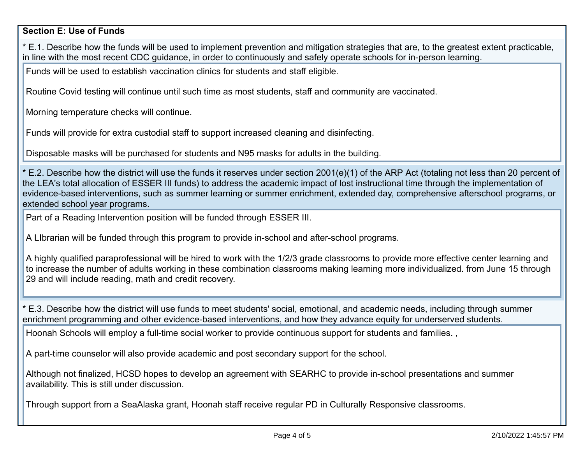## **Section E: Use of Funds**

\* E.1. Describe how the funds will be used to implement prevention and mitigation strategies that are, to the greatest extent practicable,in line with the most recent CDC guidance, in order to continuously and safely operate schools for in-person learning.

Funds will be used to establish vaccination clinics for students and staff eligible.

Routine Covid testing will continue until such time as most students, staff and community are vaccinated.

Morning temperature checks will continue.

Funds will provide for extra custodial staff to support increased cleaning and disinfecting.

Disposable masks will be purchased for students and N95 masks for adults in the building.

\* E.2. Describe how the district will use the funds it reserves under section 2001(e)(1) of the ARP Act (totaling not less than 20 percent ofthe LEA's total allocation of ESSER III funds) to address the academic impact of lost instructional time through the implementation of evidence-based interventions, such as summer learning or summer enrichment, extended day, comprehensive afterschool programs, orextended school year programs.

Part of a Reading Intervention position will be funded through ESSER III.

A LIbrarian will be funded through this program to provide in-school and after-school programs.

A highly qualified paraprofessional will be hired to work with the 1/2/3 grade classrooms to provide more effective center learning and to increase the number of adults working in these combination classrooms making learning more individualized. from June 15 through29 and will include reading, math and credit recovery.

\* E.3. Describe how the district will use funds to meet students' social, emotional, and academic needs, including through summerenrichment programming and other evidence-based interventions, and how they advance equity for underserved students.

Hoonah Schools will employ a full-time social worker to provide continuous support for students and families. ,

A part-time counselor will also provide academic and post secondary support for the school.

Although not finalized, HCSD hopes to develop an agreement with SEARHC to provide in-school presentations and summeravailability. This is still under discussion.

Through support from a SeaAlaska grant, Hoonah staff receive regular PD in Culturally Responsive classrooms.